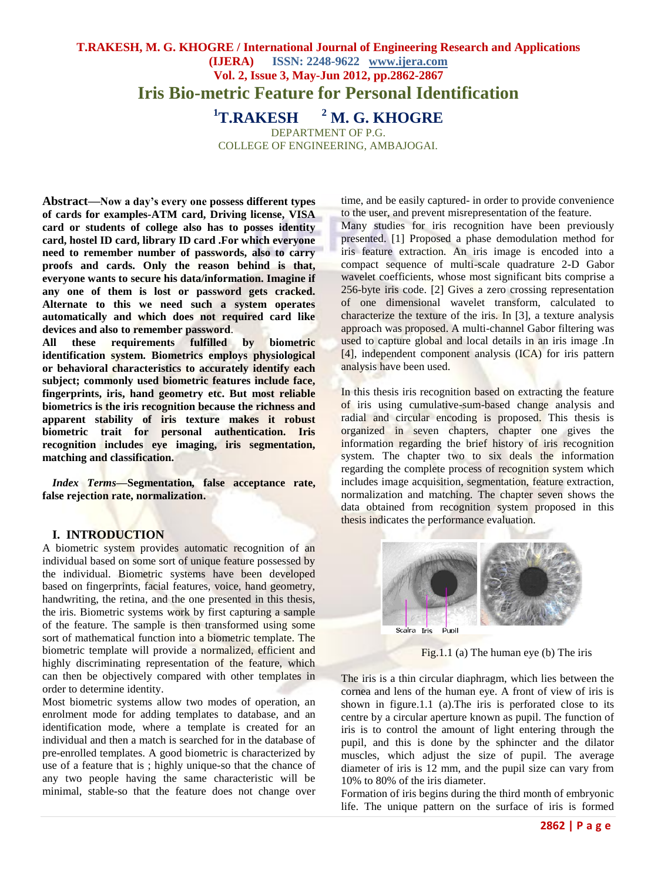# **T.RAKESH, M. G. KHOGRE / International Journal of Engineering Research and Applications (IJERA) ISSN: 2248-9622 www.ijera.com Vol. 2, Issue 3, May-Jun 2012, pp.2862-2867 Iris Bio-metric Feature for Personal Identification**

**<sup>1</sup>T.RAKESH <sup>2</sup> M. G. KHOGRE** 

DEPARTMENT OF P.G. COLLEGE OF ENGINEERING, AMBAJOGAI.

**Abstract—Now a day's every one possess different types of cards for examples-ATM card, Driving license, VISA card or students of college also has to posses identity card, hostel ID card, library ID card .For which everyone need to remember number of passwords, also to carry proofs and cards. Only the reason behind is that, everyone wants to secure his data/information. Imagine if any one of them is lost or password gets cracked. Alternate to this we need such a system operates automatically and which does not required card like devices and also to remember password**.

**All these requirements fulfilled by biometric identification system. Biometrics employs physiological or behavioral characteristics to accurately identify each subject; commonly used biometric features include face, fingerprints, iris, hand geometry etc. But most reliable biometrics is the iris recognition because the richness and apparent stability of iris texture makes it robust biometric trait for personal authentication. Iris recognition includes eye imaging, iris segmentation, matching and classification.**

*Index Terms—***Segmentation***,* **false acceptance rate, false rejection rate, normalization.**

### **I. INTRODUCTION**

A biometric system provides automatic recognition of an individual based on some sort of unique feature possessed by the individual. Biometric systems have been developed based on fingerprints, facial features, voice, hand geometry, handwriting, the retina, and the one presented in this thesis, the iris. Biometric systems work by first capturing a sample of the feature. The sample is then transformed using some sort of mathematical function into a biometric template. The biometric template will provide a normalized, efficient and highly discriminating representation of the feature, which can then be objectively compared with other templates in order to determine identity.

Most biometric systems allow two modes of operation, an enrolment mode for adding templates to database, and an identification mode, where a template is created for an individual and then a match is searched for in the database of pre-enrolled templates. A good biometric is characterized by use of a feature that is ; highly unique-so that the chance of any two people having the same characteristic will be minimal, stable-so that the feature does not change over time, and be easily captured- in order to provide convenience to the user, and prevent misrepresentation of the feature.

Many studies for iris recognition have been previously presented. [1] Proposed a phase demodulation method for iris feature extraction. An iris image is encoded into a compact sequence of multi-scale quadrature 2-D Gabor wavelet coefficients, whose most significant bits comprise a 256-byte iris code. [2] Gives a zero crossing representation of one dimensional wavelet transform, calculated to characterize the texture of the iris. In [3], a texture analysis approach was proposed. A multi-channel Gabor filtering was used to capture global and local details in an iris image. In [4], independent component analysis (ICA) for iris pattern analysis have been used.

In this thesis iris recognition based on extracting the feature of iris using cumulative-sum-based change analysis and radial and circular encoding is proposed. This thesis is organized in seven chapters, chapter one gives the information regarding the brief history of iris recognition system. The chapter two to six deals the information regarding the complete process of recognition system which includes image acquisition, segmentation, feature extraction, normalization and matching. The chapter seven shows the data obtained from recognition system proposed in this thesis indicates the performance evaluation.



Fig.1.1 (a) The human eye (b) The iris

The iris is a thin circular diaphragm, which lies between the cornea and lens of the human eye. A front of view of iris is shown in figure.1.1 (a).The iris is perforated close to its centre by a circular aperture known as pupil. The function of iris is to control the amount of light entering through the pupil, and this is done by the sphincter and the dilator muscles, which adjust the size of pupil. The average diameter of iris is 12 mm, and the pupil size can vary from 10% to 80% of the iris diameter.

Formation of iris begins during the third month of embryonic life. The unique pattern on the surface of iris is formed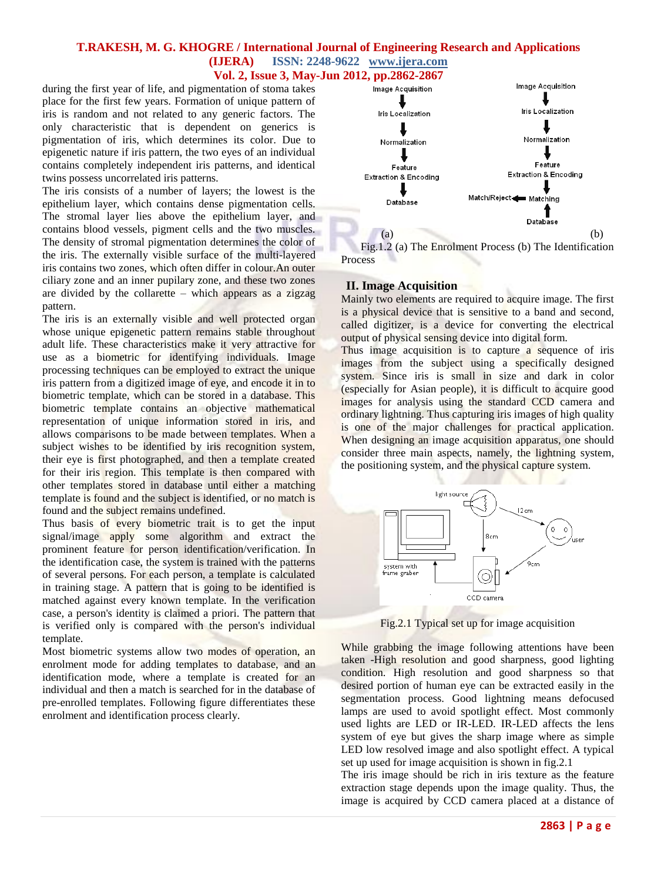## **T.RAKESH, M. G. KHOGRE / International Journal of Engineering Research and Applications (IJERA) ISSN: 2248-9622 www.ijera.com**

**Vol. 2, Issue 3, May-Jun 2012, pp.2862-2867**

during the first year of life, and pigmentation of stoma takes place for the first few years. Formation of unique pattern of iris is random and not related to any generic factors. The only characteristic that is dependent on generics is pigmentation of iris, which determines its color. Due to epigenetic nature if iris pattern, the two eyes of an individual contains completely independent iris patterns, and identical twins possess uncorrelated iris patterns.

The iris consists of a number of layers; the lowest is the epithelium layer, which contains dense pigmentation cells. The stromal layer lies above the epithelium layer, and contains blood vessels, pigment cells and the two muscles. The density of stromal pigmentation determines the color of the iris. The externally visible surface of the multi-layered iris contains two zones, which often differ in colour.An outer ciliary zone and an inner pupilary zone, and these two zones are divided by the collarette – which appears as a zigzag pattern.

The iris is an externally visible and well protected organ whose unique epigenetic pattern remains stable throughout adult life. These characteristics make it very attractive for use as a biometric for identifying individuals. Image processing techniques can be employed to extract the unique iris pattern from a digitized image of eye, and encode it in to biometric template, which can be stored in a database. This biometric template contains an objective mathematical representation of unique information stored in iris, and allows comparisons to be made between templates. When a subject wishes to be identified by iris recognition system, their eye is first photographed, and then a template created for their iris region. This template is then compared with other templates stored in database until either a matching template is found and the subject is identified, or no match is found and the subject remains undefined.

Thus basis of every biometric trait is to get the input signal/image apply some algorithm and extract the prominent feature for person identification/verification. In the identification case, the system is trained with the patterns of several persons. For each person, a template is calculated in training stage. A pattern that is going to be identified is matched against every known template. In the verification case, a person's identity is claimed a priori. The pattern that is verified only is compared with the person's individual template.

Most biometric systems allow two modes of operation, an enrolment mode for adding templates to database, and an identification mode, where a template is created for an individual and then a match is searched for in the database of pre-enrolled templates. Following figure differentiates these enrolment and identification process clearly.



 Fig.1.2 (a) The Enrolment Process (b) The Identification Process

### **II. Image Acquisition**

Mainly two elements are required to acquire image. The first is a physical device that is sensitive to a band and second, called digitizer, is a device for converting the electrical output of physical sensing device into digital form.

Thus image acquisition is to capture a sequence of iris images from the subject using a specifically designed system. Since iris is small in size and dark in color (especially for Asian people), it is difficult to acquire good images for analysis using the standard CCD camera and ordinary lightning. Thus capturing iris images of high quality is one of the major challenges for practical application. When designing an image acquisition apparatus, one should consider three main aspects, namely, the lightning system, the positioning system, and the physical capture system.



Fig.2.1 Typical set up for image acquisition

While grabbing the image following attentions have been taken -High resolution and good sharpness, good lighting condition. High resolution and good sharpness so that desired portion of human eye can be extracted easily in the segmentation process. Good lightning means defocused lamps are used to avoid spotlight effect. Most commonly used lights are LED or IR-LED. IR-LED affects the lens system of eye but gives the sharp image where as simple LED low resolved image and also spotlight effect. A typical set up used for image acquisition is shown in fig.2.1

The iris image should be rich in iris texture as the feature extraction stage depends upon the image quality. Thus, the image is acquired by CCD camera placed at a distance of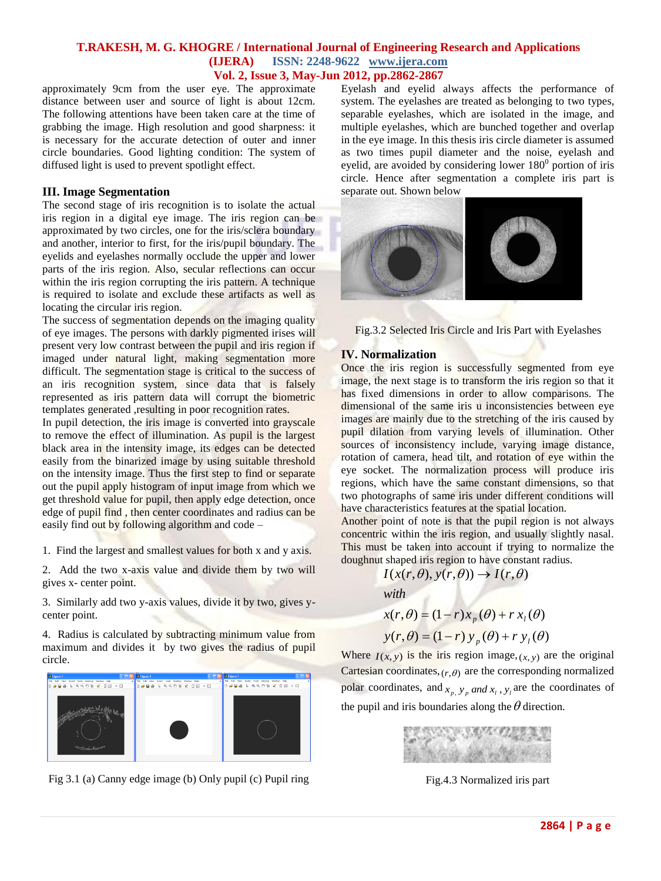### **T.RAKESH, M. G. KHOGRE / International Journal of Engineering Research and Applications (IJERA) ISSN: 2248-9622 www.ijera.com Vol. 2, Issue 3, May-Jun 2012, pp.2862-2867**

approximately 9cm from the user eye. The approximate distance between user and source of light is about 12cm. The following attentions have been taken care at the time of grabbing the image. High resolution and good sharpness: it is necessary for the accurate detection of outer and inner circle boundaries. Good lighting condition: The system of diffused light is used to prevent spotlight effect.

### **III. Image Segmentation**

The second stage of iris recognition is to isolate the actual iris region in a digital eye image. The iris region can be approximated by two circles, one for the iris/sclera boundary and another, interior to first, for the iris/pupil boundary. The eyelids and eyelashes normally occlude the upper and lower parts of the iris region. Also, secular reflections can occur within the iris region corrupting the iris pattern. A technique is required to isolate and exclude these artifacts as well as locating the circular iris region.

The success of segmentation depends on the imaging quality of eye images. The persons with darkly pigmented irises will present very low contrast between the pupil and iris region if imaged under natural light, making segmentation more difficult. The segmentation stage is critical to the success of an iris recognition system, since data that is falsely represented as iris pattern data will corrupt the biometric templates generated ,resulting in poor recognition rates.

In pupil detection, the iris image is converted into grayscale to remove the effect of illumination. As pupil is the largest black area in the intensity image, its edges can be detected easily from the binarized image by using suitable threshold on the intensity image. Thus the first step to find or separate out the pupil apply histogram of input image from which we get threshold value for pupil, then apply edge detection, once edge of pupil find , then center coordinates and radius can be easily find out by following algorithm and code –

1. Find the largest and smallest values for both x and y axis.

2. Add the two x-axis value and divide them by two will gives x- center point.

3. Similarly add two y-axis values, divide it by two, gives ycenter point.

4. Radius is calculated by subtracting minimum value from maximum and divides it by two gives the radius of pupil circle.



Fig 3.1 (a) Canny edge image (b) Only pupil (c) Pupil ring

Eyelash and eyelid always affects the performance of system. The eyelashes are treated as belonging to two types, separable eyelashes, which are isolated in the image, and multiple eyelashes, which are bunched together and overlap in the eye image. In this thesis iris circle diameter is assumed as two times pupil diameter and the noise, eyelash and eyelid, are avoided by considering lower  $180<sup>0</sup>$  portion of iris circle. Hence after segmentation a complete iris part is separate out. Shown below



Fig.3.2 Selected Iris Circle and Iris Part with Eyelashes

#### **IV. Normalization**

Once the iris region is successfully segmented from eye image, the next stage is to transform the iris region so that it has fixed dimensions in order to allow comparisons. The dimensional of the same iris u inconsistencies between eve images are mainly due to the stretching of the iris caused by pupil dilation from varying levels of illumination. Other sources of inconsistency include, varying image distance, rotation of camera, head tilt, and rotation of eye within the eye socket. The normalization process will produce iris regions, which have the same constant dimensions, so that two photographs of same iris under different conditions will have characteristics features at the spatial location.

Another point of note is that the pupil region is not always concentric within the iris region, and usually slightly nasal. This must be taken into account if trying to normalize the doughnut shaped iris region to have constant radius.

$$
I(x(r, \theta), y(r, \theta)) \rightarrow I(r, \theta)
$$
  
with  

$$
x(r, \theta) = (1 - r)x_p(\theta) + rx_l(\theta)
$$

 $y(r, \theta) = (1 - r) y_p(\theta) + r y_l(\theta)$ 

Where  $I(x, y)$  is the iris region image,  $(x, y)$  are the original Cartesian coordinates,  $(r, \theta)$  are the corresponding normalized polar coordinates, and  $x_p$ ,  $y_p$  *and*  $x_l$ ,  $y_l$  are the coordinates of the pupil and iris boundaries along the  $\theta$  direction.



Fig.4.3 Normalized iris part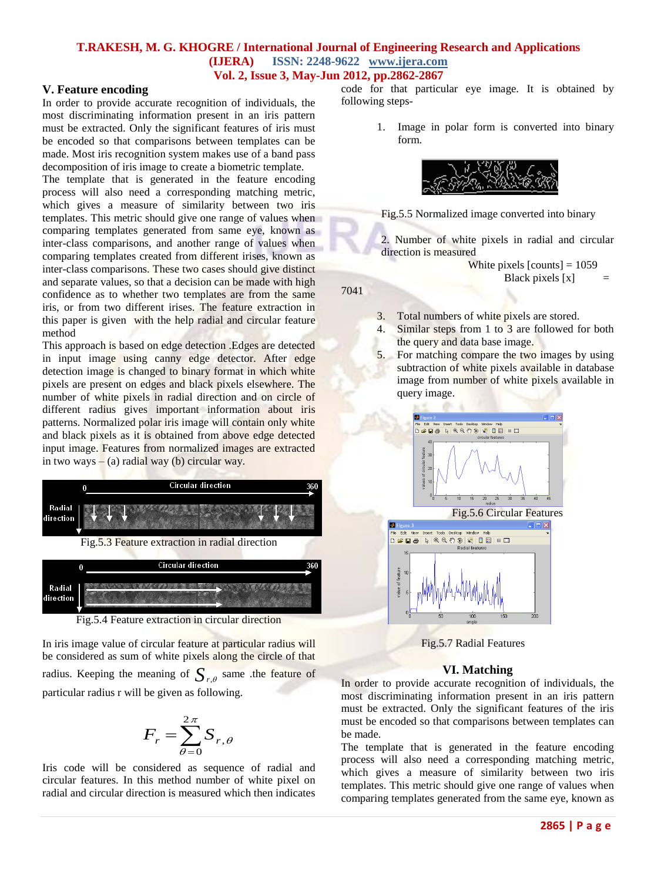# **T.RAKESH, M. G. KHOGRE / International Journal of Engineering Research and Applications (IJERA) ISSN: 2248-9622 www.ijera.com**

## **Vol. 2, Issue 3, May-Jun 2012, pp.2862-2867**

## **V. Feature encoding**

In order to provide accurate recognition of individuals, the most discriminating information present in an iris pattern must be extracted. Only the significant features of iris must be encoded so that comparisons between templates can be made. Most iris recognition system makes use of a band pass decomposition of iris image to create a biometric template.

The template that is generated in the feature encoding process will also need a corresponding matching metric, which gives a measure of similarity between two iris templates. This metric should give one range of values when comparing templates generated from same eye, known as inter-class comparisons, and another range of values when comparing templates created from different irises, known as inter-class comparisons. These two cases should give distinct and separate values, so that a decision can be made with high confidence as to whether two templates are from the same iris, or from two different irises. The feature extraction in this paper is given with the help radial and circular feature method

This approach is based on edge detection .Edges are detected in input image using canny edge detector. After edge detection image is changed to binary format in which white pixels are present on edges and black pixels elsewhere. The number of white pixels in radial direction and on circle of different radius gives important information about iris patterns. Normalized polar iris image will contain only white and black pixels as it is obtained from above edge detected input image. Features from normalized images are extracted in two ways  $-$  (a) radial way (b) circular way.



Fig.5.4 Feature extraction in circular direction

In iris image value of circular feature at particular radius will be considered as sum of white pixels along the circle of that radius. Keeping the meaning of  $S_{r,\theta}$  same the feature of particular radius r will be given as following.

$$
F_r = \sum_{\theta=0}^{2\pi} S_{r,\theta}
$$

Iris code will be considered as sequence of radial and circular features. In this method number of white pixel on radial and circular direction is measured which then indicates

code for that particular eye image. It is obtained by following steps-

> 1. Image in polar form is converted into binary form.



Fig.5.5 Normalized image converted into binary

2. Number of white pixels in radial and circular direction is measured

> White pixels  $[counts] = 1059$ Black pixels  $[x] =$

7041

- 3. Total numbers of white pixels are stored.
- 4. Similar steps from 1 to 3 are followed for both the query and data base image.
- 5. For matching compare the two images by using subtraction of white pixels available in database image from number of white pixels available in query image.



Fig.5.7 Radial Features

### **VI. Matching**

In order to provide accurate recognition of individuals, the most discriminating information present in an iris pattern must be extracted. Only the significant features of the iris must be encoded so that comparisons between templates can be made.

The template that is generated in the feature encoding process will also need a corresponding matching metric, which gives a measure of similarity between two iris templates. This metric should give one range of values when comparing templates generated from the same eye, known as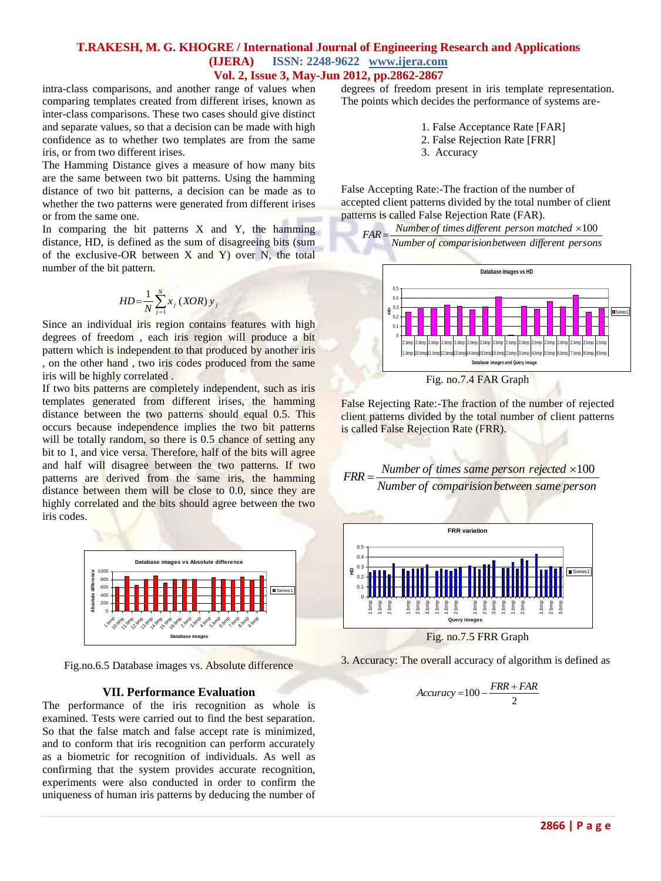### **T.RAKESH, M. G. KHOGRE / International Journal of Engineering Research and Applications (IJERA) ISSN: 2248-9622 www.ijera.com Vol. 2, Issue 3, May-Jun 2012, pp.2862-2867**

intra-class comparisons, and another range of values when comparing templates created from different irises, known as inter-class comparisons. These two cases should give distinct and separate values, so that a decision can be made with high confidence as to whether two templates are from the same iris, or from two different irises.

The Hamming Distance gives a measure of how many bits are the same between two bit patterns. Using the hamming distance of two bit patterns, a decision can be made as to whether the two patterns were generated from different irises or from the same one.

In comparing the bit patterns  $X$  and  $Y$ , the hamming distance, HD, is defined as the sum of disagreeing bits (sum of the exclusive-OR between  $X$  and  $Y$ ) over N, the total number of the bit pattern.

$$
HD = \frac{1}{N} \sum_{j=1}^{N} x_j \left(XOR\right) y_j
$$

Since an individual iris region contains features with high degrees of freedom , each iris region will produce a bit pattern which is independent to that produced by another iris , on the other hand , two iris codes produced from the same iris will be highly correlated .

If two bits patterns are completely independent, such as iris templates generated from different irises, the hamming distance between the two patterns should equal 0.5. This occurs because independence implies the two bit patterns will be totally random, so there is 0.5 chance of setting any bit to 1, and vice versa. Therefore, half of the bits will agree and half will disagree between the two patterns. If two patterns are derived from the same iris, the hamming distance between them will be close to 0.0, since they are highly correlated and the bits should agree between the two iris codes.



Fig.no.6.5 Database images vs. Absolute difference

#### **VII. Performance Evaluation**

The performance of the iris recognition as whole is examined. Tests were carried out to find the best separation. So that the false match and false accept rate is minimized, and to conform that iris recognition can perform accurately as a biometric for recognition of individuals. As well as confirming that the system provides accurate recognition, experiments were also conducted in order to confirm the uniqueness of human iris patterns by deducing the number of degrees of freedom present in iris template representation. The points which decides the performance of systems are-

1. False Acceptance Rate [FAR]

- 2. False Rejection Rate [FRR]
- 3. Accuracy

False Accepting Rate:-The fraction of the number of accepted client patterns divided by the total number of client patterns is called False Rejection Rate (FAR).



False Rejecting Rate:-The fraction of the number of rejected client patterns divided by the total number of client patterns is called False Rejection Rate (FRR).





Fig. no.7.5 FRR Graph

3. Accuracy: The overall accuracy of algorithm is defined as

$$
Accuracy = 100 - \frac{FRR + FAR}{2}
$$